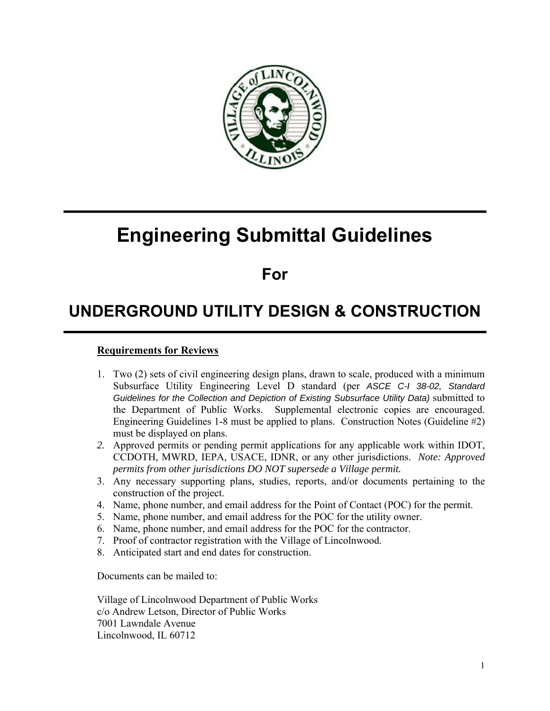

# **Engineering Submittal Guidelines**

### **For**

## **UNDERGROUND UTILITY DESIGN & CONSTRUCTION**

#### **Requirements for Reviews**

- 1. Two (2) sets of civil engineering design plans, drawn to scale, produced with a minimum Subsurface Utility Engineering Level D standard (per *ASCE C-I 38-02, Standard*  Guidelines for the Collection and Depiction of Existing Subsurface Utility Data) submitted to the Department of Public Works. Supplemental electronic copies are encouraged. Engineering Guidelines 1-8 must be applied to plans. Construction Notes (Guideline #2) must be displayed on plans.
- *2.* Approved permits or pending permit applications for any applicable work within IDOT, CCDOTH, MWRD, IEPA, USACE, IDNR, or any other jurisdictions. *Note: Approved permits from other jurisdictions DO NOT supersede a Village permit.*
- 3. Any necessary supporting plans, studies, reports, and/or documents pertaining to the construction of the project.
- 4. Name, phone number, and email address for the Point of Contact (POC) for the permit.
- 5. Name, phone number, and email address for the POC for the utility owner.
- 6. Name, phone number, and email address for the POC for the contractor.
- 7. Proof of contractor registration with the Village of Lincolnwood.
- 8. Anticipated start and end dates for construction.

Documents can be mailed to:

Village of Lincolnwood Department of Public Works c/o Andrew Letson, Director of Public Works 7001 Lawndale Avenue Lincolnwood, IL 60712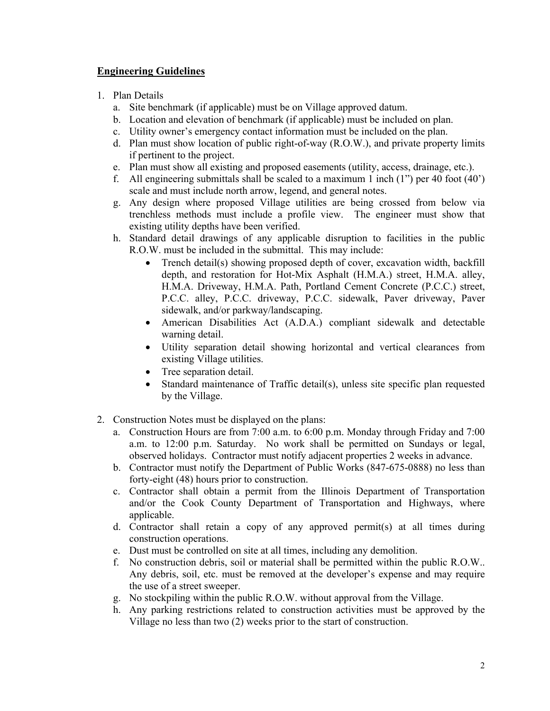#### **Engineering Guidelines**

- 1. Plan Details
	- a. Site benchmark (if applicable) must be on Village approved datum.
	- b. Location and elevation of benchmark (if applicable) must be included on plan.
	- c. Utility owner's emergency contact information must be included on the plan.
	- d. Plan must show location of public right-of-way (R.O.W.), and private property limits if pertinent to the project.
	- e. Plan must show all existing and proposed easements (utility, access, drainage, etc.).
	- f. All engineering submittals shall be scaled to a maximum 1 inch  $(1")$  per 40 foot  $(40')$ scale and must include north arrow, legend, and general notes.
	- g. Any design where proposed Village utilities are being crossed from below via trenchless methods must include a profile view. The engineer must show that existing utility depths have been verified.
	- h. Standard detail drawings of any applicable disruption to facilities in the public R.O.W. must be included in the submittal. This may include:
		- Trench detail(s) showing proposed depth of cover, excavation width, backfill depth, and restoration for Hot-Mix Asphalt (H.M.A.) street, H.M.A. alley, H.M.A. Driveway, H.M.A. Path, Portland Cement Concrete (P.C.C.) street, P.C.C. alley, P.C.C. driveway, P.C.C. sidewalk, Paver driveway, Paver sidewalk, and/or parkway/landscaping.
		- American Disabilities Act (A.D.A.) compliant sidewalk and detectable warning detail.
		- Utility separation detail showing horizontal and vertical clearances from existing Village utilities.
		- Tree separation detail.
		- Standard maintenance of Traffic detail(s), unless site specific plan requested by the Village.
- 2. Construction Notes must be displayed on the plans:
	- a. Construction Hours are from 7:00 a.m. to 6:00 p.m. Monday through Friday and 7:00 a.m. to 12:00 p.m. Saturday. No work shall be permitted on Sundays or legal, observed holidays. Contractor must notify adjacent properties 2 weeks in advance.
	- b. Contractor must notify the Department of Public Works (847-675-0888) no less than forty-eight (48) hours prior to construction.
	- c. Contractor shall obtain a permit from the Illinois Department of Transportation and/or the Cook County Department of Transportation and Highways, where applicable.
	- d. Contractor shall retain a copy of any approved permit(s) at all times during construction operations.
	- e. Dust must be controlled on site at all times, including any demolition.
	- f. No construction debris, soil or material shall be permitted within the public R.O.W.. Any debris, soil, etc. must be removed at the developer's expense and may require the use of a street sweeper.
	- g. No stockpiling within the public R.O.W. without approval from the Village.
	- h. Any parking restrictions related to construction activities must be approved by the Village no less than two (2) weeks prior to the start of construction.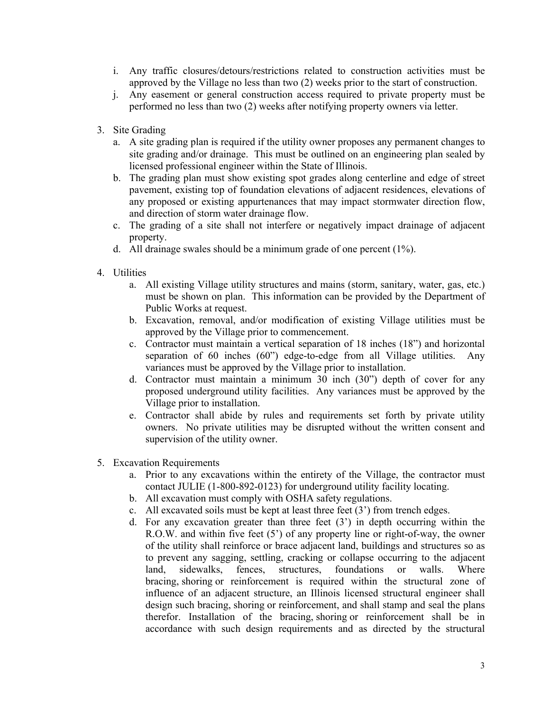- i. Any traffic closures/detours/restrictions related to construction activities must be approved by the Village no less than two (2) weeks prior to the start of construction.
- j. Any easement or general construction access required to private property must be performed no less than two (2) weeks after notifying property owners via letter.
- 3. Site Grading
	- a. A site grading plan is required if the utility owner proposes any permanent changes to site grading and/or drainage. This must be outlined on an engineering plan sealed by licensed professional engineer within the State of Illinois.
	- b. The grading plan must show existing spot grades along centerline and edge of street pavement, existing top of foundation elevations of adjacent residences, elevations of any proposed or existing appurtenances that may impact stormwater direction flow, and direction of storm water drainage flow.
	- c. The grading of a site shall not interfere or negatively impact drainage of adjacent property.
	- d. All drainage swales should be a minimum grade of one percent (1%).
- 4. Utilities
	- a. All existing Village utility structures and mains (storm, sanitary, water, gas, etc.) must be shown on plan. This information can be provided by the Department of Public Works at request.
	- b. Excavation, removal, and/or modification of existing Village utilities must be approved by the Village prior to commencement.
	- c. Contractor must maintain a vertical separation of 18 inches (18") and horizontal separation of 60 inches (60") edge-to-edge from all Village utilities. Any variances must be approved by the Village prior to installation.
	- d. Contractor must maintain a minimum 30 inch (30") depth of cover for any proposed underground utility facilities. Any variances must be approved by the Village prior to installation.
	- e. Contractor shall abide by rules and requirements set forth by private utility owners. No private utilities may be disrupted without the written consent and supervision of the utility owner.
- 5. Excavation Requirements
	- a. Prior to any excavations within the entirety of the Village, the contractor must contact JULIE (1-800-892-0123) for underground utility facility locating.
	- b. All excavation must comply with OSHA safety regulations.
	- c. All excavated soils must be kept at least three feet (3') from trench edges.
	- d. For any excavation greater than three feet (3') in depth occurring within the R.O.W. and within five feet (5') of any property line or right-of-way, the owner of the utility shall reinforce or brace adjacent land, buildings and structures so as to prevent any sagging, settling, cracking or collapse occurring to the adjacent land, sidewalks, fences, structures, foundations or walls. Where bracing, shoring or reinforcement is required within the structural zone of influence of an adjacent structure, an Illinois licensed structural engineer shall design such bracing, shoring or reinforcement, and shall stamp and seal the plans therefor. Installation of the bracing, shoring or reinforcement shall be in accordance with such design requirements and as directed by the structural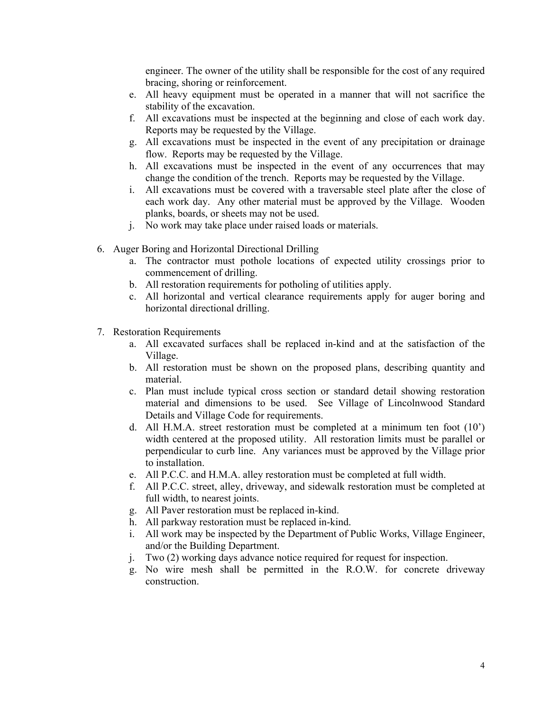engineer. The owner of the utility shall be responsible for the cost of any required bracing, shoring or reinforcement.

- e. All heavy equipment must be operated in a manner that will not sacrifice the stability of the excavation.
- f. All excavations must be inspected at the beginning and close of each work day. Reports may be requested by the Village.
- g. All excavations must be inspected in the event of any precipitation or drainage flow. Reports may be requested by the Village.
- h. All excavations must be inspected in the event of any occurrences that may change the condition of the trench. Reports may be requested by the Village.
- i. All excavations must be covered with a traversable steel plate after the close of each work day. Any other material must be approved by the Village. Wooden planks, boards, or sheets may not be used.
- j. No work may take place under raised loads or materials.
- 6. Auger Boring and Horizontal Directional Drilling
	- a. The contractor must pothole locations of expected utility crossings prior to commencement of drilling.
	- b. All restoration requirements for potholing of utilities apply.
	- c. All horizontal and vertical clearance requirements apply for auger boring and horizontal directional drilling.
- 7. Restoration Requirements
	- a. All excavated surfaces shall be replaced in-kind and at the satisfaction of the Village.
	- b. All restoration must be shown on the proposed plans, describing quantity and material.
	- c. Plan must include typical cross section or standard detail showing restoration material and dimensions to be used. See Village of Lincolnwood Standard Details and Village Code for requirements.
	- d. All H.M.A. street restoration must be completed at a minimum ten foot (10') width centered at the proposed utility. All restoration limits must be parallel or perpendicular to curb line. Any variances must be approved by the Village prior to installation.
	- e. All P.C.C. and H.M.A. alley restoration must be completed at full width.
	- f. All P.C.C. street, alley, driveway, and sidewalk restoration must be completed at full width, to nearest joints.
	- g. All Paver restoration must be replaced in-kind.
	- h. All parkway restoration must be replaced in-kind.
	- i. All work may be inspected by the Department of Public Works, Village Engineer, and/or the Building Department.
	- j. Two (2) working days advance notice required for request for inspection.
	- g. No wire mesh shall be permitted in the R.O.W. for concrete driveway construction.